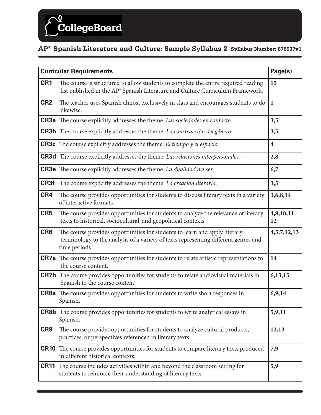# **AP® Spanish Literature and Culture: Sample Syllabus 2 Syllabus Number: 876037v1**

| <b>Curricular Requirements</b> |                                                                                                                                                                                    | Page(s)                 |
|--------------------------------|------------------------------------------------------------------------------------------------------------------------------------------------------------------------------------|-------------------------|
| CR1                            | The course is structured to allow students to complete the entire required reading<br>list published in the AP® Spanish Literature and Culture Curriculum Framework.               | 15                      |
| CR <sub>2</sub>                | The teacher uses Spanish almost exclusively in class and encourages students to do<br>likewise.                                                                                    | $\vert$ 1               |
|                                | <b>CR3a</b> The course explicitly addresses the theme: Las sociedades en contacto.                                                                                                 | 3,5                     |
|                                | <b>CR3b</b> The course explicitly addresses the theme: La construcción del género.                                                                                                 | 3,5                     |
|                                | <b>CR3c</b> The course explicitly addresses the theme: El tiempo y el espacio.                                                                                                     | $\overline{\mathbf{4}}$ |
|                                | <b>CR3d</b> The course explicitly addresses the theme: Las relaciones interpersonales.                                                                                             | 2,8                     |
|                                | <b>CR3e</b> The course explicitly addresses the theme: La dualidad del ser.                                                                                                        | 6,7                     |
| CR3f                           | The course explicitly addresses the theme: La creación literaria.                                                                                                                  | 3,5                     |
| CR4                            | The course provides opportunities for students to discuss literary texts in a variety<br>of interactive formats.                                                                   | 3,6,8,14                |
| CR <sub>5</sub>                | The course provides opportunities for students to analyze the relevance of literary<br>texts to historical, sociocultural, and geopolitical contexts.                              | 4,8,10,11<br>12         |
| CR <sub>6</sub>                | The course provides opportunities for students to learn and apply literary<br>terminology to the analysis of a variety of texts representing different genres and<br>time periods. | 4, 5, 7, 12, 13         |
|                                | <b>CR7a</b> The course provides opportunities for students to relate artistic representations to<br>the course content.                                                            | 14                      |
| CR7b                           | The course provides opportunities for students to relate audiovisual materials in<br>Spanish to the course content.                                                                | 6,13,15                 |
|                                | <b>CR8a</b> The course provides opportunities for students to write short responses in<br>Spanish.                                                                                 | 6,9,14                  |
| CR8b                           | The course provides opportunities for students to write analytical essays in<br>Spanish.                                                                                           | 5,9,11                  |
| CR <sub>9</sub>                | The course provides opportunities for students to analyze cultural products,<br>practices, or perspectives referenced in literary texts.                                           | 12,13                   |
|                                | <b>CR10</b> The course provides opportunities for students to compare literary texts produced<br>in different historical contexts.                                                 | 7,9                     |
| <b>CR11</b>                    | The course includes activities within and beyond the classroom setting for<br>students to reinforce their understanding of literary texts.                                         | 5,9                     |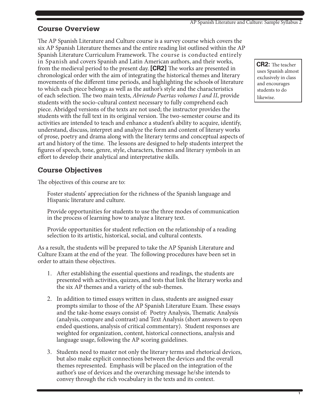# **Course Overview**

The AP Spanish Literature and Culture course is a survey course which covers the six AP Spanish Literature themes and the entire reading list outlined within the AP Spanish Literature Curriculum Framework. The course is conducted entirely in Spanish and covers Spanish and Latin American authors, and their works, from the medieval period to the present day. **[CR2]** The works are presented in chronological order with the aim of integrating the historical themes and literary movements of the diferent time periods, and highlighting the schools of literature to which each piece belongs as well as the author's style and the characteristics of each selection. The two main texts, *Abriendo Puertas volumes I and II*, provide students with the socio-cultural context necessary to fully comprehend each piece. Abridged versions of the texts are not used; the instructor provides the students with the full text in its original version. The two-semester course and its activities are intended to teach and enhance a student's ability to acquire, identify, understand, discuss, interpret and analyze the form and content of literary works of prose, poetry and drama along with the literary terms and conceptual aspects of art and history of the time. The lessons are designed to help students interpret the fgures of speech, tone, genre, style, characters, themes and literary symbols in an effort to develop their analytical and interpretative skills.

# **Course Objectives**

The objectives of this course are to:

Foster students' appreciation for the richness of the Spanish language and Hispanic literature and culture.

Provide opportunities for students to use the three modes of communication in the process of learning how to analyze a literary text.

Provide opportunities for student refection on the relationship of a reading selection to its artistic, historical, social, and cultural contexts.

As a result, the students will be prepared to take the AP Spanish Literature and Culture Exam at the end of the year. The following procedures have been set in order to attain these objectives.

- 1. Afer establishing the essential questions and readings, the students are presented with activities, quizzes, and tests that link the literary works and the six AP themes and a variety of the sub-themes.
- 2. In addition to timed essays written in class, students are assigned essay prompts similar to those of the AP Spanish Literature Exam. These essays and the take-home essays consist of: Poetry Analysis, Thematic Analysis (analysis, compare and contrast) and Text Analysis (short answers to open ended questions, analysis of critical commentary). Student responses are weighted for organization, content, historical connections, analysis and language usage, following the AP scoring guidelines.
- 3. Students need to master not only the literary terms and rhetorical devices, but also make explicit connections between the devices and the overall themes represented. Emphasis will be placed on the integration of the author's use of devices and the overarching message he/she intends to convey through the rich vocabulary in the texts and its context.

**CR2:** The teacher uses Spanish almost exclusively in class and encourages students to do likewise.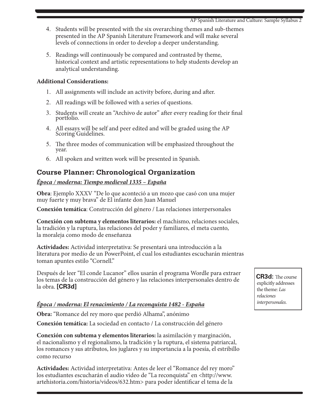- 4. Students will be presented with the six overarching themes and sub-themes presented in the AP Spanish Literature Framework and will make several levels of connections in order to develop a deeper understanding.
- 5. Readings will continuously be compared and contrasted by theme, historical context and artistic representations to help students develop an analytical understanding.

# **Additional Considerations:**

- 1. All assignments will include an activity before, during and afer.
- 2. All readings will be followed with a series of questions.
- 3. Students will create an "Archivo de autor" afer every reading for their fnal portfolio.
- 4. All essays will be self and peer edited and will be graded using the AP Scoring Guidelines.
- 5. The three modes of communication will be emphasized throughout the year.
- 6. All spoken and written work will be presented in Spanish.

# **Course Planner: Chronological Organization**

# *Época / moderna: Tiempo medieval 1335 – España*

**Obra**: Ejemplo XXXV "De lo que aconteció a un mozo que casó con una mujer muy fuerte y muy brava" de El infante don Juan Manuel

**Conexión temática**: Construcción del género / Las relaciones interpersonales

**Conexión con subtema y elementos literarios:** el machismo, relaciones sociales, la tradición y la ruptura, las relaciones del poder y familiares, el meta cuento, la moraleja como modo de enseñanza

**Actividades:** Actividad interpretativa: Se presentará una introducción a la literatura por medio de un PowerPoint, el cual los estudiantes escucharán mientras toman apuntes estilo "Cornell."

Después de leer "El conde Lucanor" ellos usarán el programa Wordle para extraer los temas de la construcción del género y las relaciones interpersonales dentro de la obra. **[CR3d]**

# *Época / moderna: El renacimiento / La reconquista 1482 - España*

**Obra:** "Romance del rey moro que perdió Alhama", anónimo

**Conexión temática:** La sociedad en contacto / La construcción del género

**Conexión con subtema y elementos literarios:** la asimilación y marginación, el nacionalismo y el regionalismo, la tradición y la ruptura, el sistema patriarcal, los romances y sus atributos, los juglares y su importancia a la poesía, el estribillo como recurso

**Actividades:** Actividad interpretativa: Antes de leer el "Romance del rey moro" los estudiantes escucharán el audio video de "La reconquista" en <http://www. artehistoria.com/historia/videos/632.htm> para poder identifcar el tema de la

**CR3d:** The course explicitly addresses the theme: *Las relaciones interpersonales.*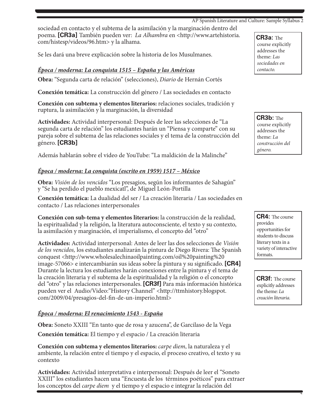sociedad en contacto y el subtema de la asimilación y la marginación dentro del poema. **[CR3a]** También pueden ver: *La Alhambra* en <http://www.artehistoria. com/histesp/videos/96.htm> y la alhama.

Se les dará una breve explicación sobre la historia de los Musulmanes.

### *Época / moderna: La conquista 1515 – España y las Américas*

**Obra:** "Segunda carta de relación" (selecciones), *Diario* de Hernán Cortés

**Conexión temática:** La construcción del género / Las sociedades en contacto

**Conexión con subtema y elementos literarios:** relaciones sociales, tradición y ruptura, la asimilación y la marginación, la diversidad

**Actividades:** Actividad interpersonal: Después de leer las selecciones de "La segunda carta de relación" los estudiantes harán un "Piensa y comparte" con su pareja sobre el subtema de las relaciones sociales y el tema de la construcción del género. **[CR3b]**

Además hablarán sobre el video de YouTube: "La maldición de la Malinche"

### *Época / moderna: La conquista (escrito en 1959) 1517 – México*

**Obra:** *Visión de los vencidos* "Los presagios, según los informantes de Sahagún" y "Se ha perdido el pueblo mexicatl", de Miguel León-Portilla

**Conexión temática:** La dualidad del ser / La creación literaria / Las sociedades en contacto / Las relaciones interpersonales

**Conexión con sub-tema y elementos literarios:** la construcción de la realidad, la espiritualidad y la religión, la literatura autoconsciente, el texto y su contexto, la asimilación y marginación, el imperialismo, el concepto del "otro"

**Actividades:** Actividad interpersonal: Antes de leer las dos selecciones de *Visión de los vencidos*, los estudiantes analizarán la pintura de Diego Rivera: The Spanish conquest <http://www.wholesalechinaoilpainting.com/oil%20painting%20 image-57066> e intercambiarán sus ideas sobre la pintura y su signifcado. **[CR4]** Durante la lectura los estudiantes harán conexiones entre la pintura y el tema de la creación literaria y el subtema de la espiritualidad y la religión o el concepto del "otro" y las relaciones interpersonales. **[CR3f]** Para más información histórica pueden ver el Audio/Video:"History Channel" <http://ttmhistory.blogspot. com/2009/04/presagios-del-fn-de-un-imperio.html>

# *Época / moderna: El renacimiento 1543 - España*

**Obra:** Soneto XXIII "En tanto que de rosa y azucena", de Garcilaso de la Vega **Conexión temática:** El tiempo y el espacio / La creación literaria

**Conexión con subtema y elementos literarios:** *carpe diem*, la naturaleza y el ambiente, la relación entre el tiempo y el espacio, el proceso creativo, el texto y su contexto

**Actividades:** Actividad interpretativa e interpersonal: Después de leer el "Soneto XXIII" los estudiantes hacen una "Encuesta de los términos poéticos" para extraer los conceptos del *carpe diem* y el tiempo y el espacio e integrar la relación del

**CR3a:** The course explicitly addresses the theme: *Las sociedades en contacto.*

CR3b: The course explicitly addresses the theme: *La construcción del género.*

**CR4:** The course provides opportunities for students to discuss literary texts in a variety of interactive formats.

**CR3f:** The course explicitly addresses the theme: *La creación literaria.*

 $\overline{a}$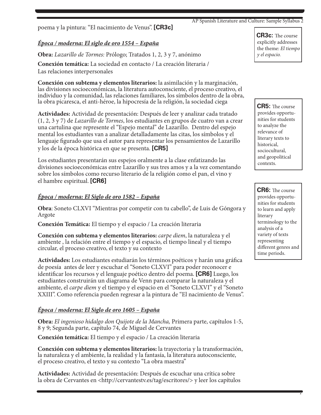poema y la pintura: "El nacimiento de Venus". **[CR3c]**

## *Época / moderna: El siglo de oro 1554 – España*

**Obra:** *Lazarillo de Tormes:* Prólogo; Tratados 1, 2, 3 y 7, anónimo

**Conexión temática:** La sociedad en contacto / La creación literaria / Las relaciones interpersonales

**Conexión con subtema y elementos literarios:** la asimilación y la marginación, las divisiones socioeconómicas, la literatura autoconsciente, el proceso creativo, el individuo y la comunidad, las relaciones familiares, los símbolos dentro de la obra, la obra picaresca, el anti-héroe, la hipocresía de la religión, la sociedad ciega

**Actividades:** Actividad de presentación: Después de leer y analizar cada tratado (1, 2, 3 y 7) de *Lazarillo de Tormes*, los estudiantes en grupos de cuatro van a crear una cartulina que represente el "Espejo mental" de Lazarillo. Dentro del espejo mental los estudiantes van a analizar detalladamente las citas, los símbolos y el lenguaje fgurado que usa el autor para representar los pensamientos de Lazarillo y los de la época histórica en que se presenta. **[CR5]** 

Los estudiantes presentarán sus espejos oralmente a la clase enfatizando las divisiones socioeconómicas entre Lazarillo y sus tres amos y a la vez comentando sobre los símbolos como recurso literario de la religión como el pan, el vino y el hambre espiritual. **[CR6]**

### *Época / moderna: El Siglo de oro 1582 – España*

**Obra**: Soneto CLXVI "Mientras por competir con tu cabello", de Luis de Góngora y Argote

**Conexión Temática:** El tiempo y el espacio / La creación literaria

**Conexión con subtema y elementos literarios:** *carpe diem*, la naturaleza y el ambiente , la relación entre el tiempo y el espacio, el tiempo lineal y el tiempo circular, el proceso creativo, el texto y su contexto

**Actividades:** Los estudiantes estudiarán los términos poéticos y harán una gráfca de poesía antes de leer y escuchar el "Soneto CLXVI" para poder reconocer e identifcar los recursos y el lenguaje poético dentro del poema. **[CR6]** Luego, los estudiantes construirán un diagrama de Venn para comparar la naturaleza y el ambiente, el *carpe diem* y el tiempo y el espacio en el "Soneto CLXVI" y el "Soneto XXIII". Como referencia pueden regresar a la pintura de "El nacimiento de Venus".

### *Época / moderna: El Siglo de oro 1605 – España*

**Obra:** *El ingenioso hidalgo don Quijote de la Mancha,* Primera parte, capítulos 1-5, 8 y 9; Segunda parte, capítulo 74, de Miguel de Cervantes

**Conexión temática:** El tiempo y el espacio / La creación literaria

**Conexión con subtema y elementos literarios:** la trayectoria y la transformación, la naturaleza y el ambiente, la realidad y la fantasía, la literatura autoconsciente, el proceso creativo, el texto y su contexto "La obra maestra"

**Actividades:** Actividad de presentación: Después de escuchar una crítica sobre la obra de Cervantes en <http://cervantestv.es/tag/escritores/> y leer los capítulos **CR3c:** The course explicitly addresses the theme: *El tiempo y el espacio.*

**CR5:** The course provides opportu nities for students to analyze the relevance of literary texts to historical, sociocultural, and geopolitical contexts.

**CR6:** The course provides opportu nities for students to learn and apply literary terminology to the analysis of a variety of texts representing diferent genres and time periods.

 $\overline{a}$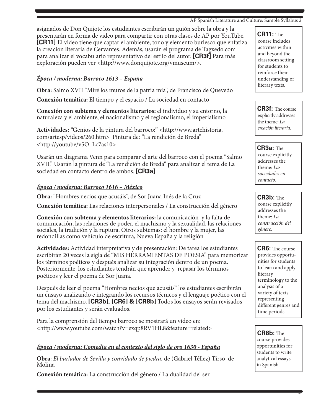asignados de Don Quijote los estudiantes escribirán un guión sobre la obra y la presentarán en forma de video para compartir con otras clases de AP por YouTube. **[CR11]** El video tiene que captar el ambiente, tono y elemento burlesco que enfatiza la creación literaria de Cervantes. Además, usarán el programa de Tagxedo.com para analizar el vocabulario representativo del estilo del autor. **[CR3f]** Para más exploración pueden ver <http://www.donquijote.org/vmuseum/>.

## *Época / moderna: Barroco 1613 – España*

**Obra:** Salmo XVII "Miré los muros de la patria mía", de Francisco de Quevedo

**Conexión temática:** El tiempo y el espacio / La sociedad en contacto

**Conexión con subtema y elementos literarios:** el individuo y su entorno, la naturaleza y el ambiente, el nacionalismo y el regionalismo, el imperialismo

**Actividades:** "Genios de la pintura del barroco:" <http://www.artehistoria. com/artesp/videos/260.htm> Pintura de: "La rendición de Breda" <http://youtube/v5O\_Lc7as10>

Usarán un diagrama Venn para comparar el arte del barroco con el poema "Salmo XVII." Usarán la pintura de "La rendición de Breda" para analizar el tema de La sociedad en contacto dentro de ambos. **[CR3a]**

# *Época / moderna: Barroco 1616 – México*

**Obra:** "Hombres necios que acusáis", de Sor Juana Inés de la Cruz

**Conexión temática:** Las relaciones interpersonales / La construcción del género

**Conexión con subtema y elementos literarios:** la comunicación y la falta de comunicación, las relaciones de poder, el machismo y la sexualidad, las relaciones sociales, la tradición y la ruptura. Otros subtemas: el hombre y la mujer, las redondillas como vehículo de escritura, Nueva España y la religión

**Actividades:** Actividad interpretativa y de presentación: De tarea los estudiantes escribirán 20 veces la sigla de "MIS HERRAMIENTAS DE POESIA" para memorizar los términos poéticos y después analizar su integración dentro de un poema. Posteriormente, los estudiantes tendrán que aprender y repasar los términos poéticos y leer el poema de Sor Juana.

Después de leer el poema "Hombres necios que acusáis" los estudiantes escribirán un ensayo analizando e integrando los recursos técnicos y el lenguaje poético con el tema del machismo. **[CR3b], [CR6] & [CR8b]** Todos los ensayos serán revisados por los estudiantes y serán evaluados.

Para la comprensión del tiempo barroco se mostrará un video en: <http://www.youtube.com/watch?v=exqp8RV1HL8&feature=related>

# *Época / moderna: Comedia en el contexto del siglo de oro 1630 - España*

**Obra**: *El burlador de Sevilla y convidado de piedra,* de (Gabriel Téllez) Tirso de Molina

**Conexión temática:** La construcción del género / La dualidad del ser

**CR11:** The course includes activities within and beyond the classroom setting for students to reinforce their understanding of literary texts.

**CR3f:** The course explicitly addresses the theme: *La creación literaria.*

**CR3a:** The course explicitly addresses the theme: *Las sociedades en contacto.*

**CR3b:** The course explicitly addresses the theme: *La construcción del género.*

**CR6:** The course provides opportu nities for students to learn and apply literary terminology to the analysis of a variety of texts representing diferent genres and time periods.

**CR8b:** The course provides opportunities for students to write analytical essays in Spanish.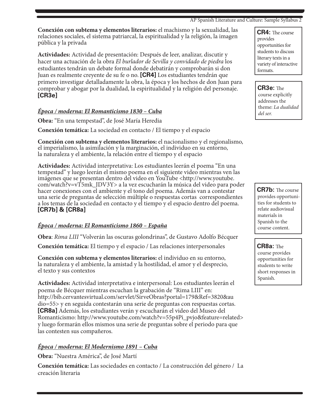**Conexión con subtema y elementos literarios:** el machismo y la sexualidad, las relaciones sociales, el sistema patriarcal, la espiritualidad y la religión, la imagen pública y la privada

**Actividades:** Actividad de presentación: Después de leer, analizar, discutir y hacer una actuación de la obra *El burlador de Sevilla y convidado de piedra* los estudiantes tendrán un debate formal donde debatirán y comprobarán si don Juan es realmente creyente de su fe o no. **[CR4]** Los estudiantes tendrán que primero investigar detalladamente la obra, la época y los hechos de don Juan para comprobar y abogar por la dualidad, la espiritualidad y la religión del personaje. **[CR3e]**

### *Época / moderna: El Romanticismo 1830 – Cuba*

**Obra:** "En una tempestad", de José María Heredia

**Conexión temática:** La sociedad en contacto / El tiempo y el espacio

**Conexión con subtema y elementos literarios:** el nacionalismo y el regionalismo, el imperialismo, la asimilación y la marginación, el individuo en su entorno, la naturaleza y el ambiente, la relación entre el tiempo y el espacio

**Actividades:** Actividad interpretativa: Los estudiantes leerán el poema "En una tempestad" y luego leerán el mismo poema en el siguiente video mientras ven las imágenes que se presentan dentro del video en YouTube <http://www.youtube. com/watch?v=vT5mk\_JDV3Y> a la vez escucharán la música del video para poder hacer conexiones con el ambiente y el tono del poema. Además van a contestar una serie de preguntas de selección múltiple o respuestas cortas correspondientes a los temas de la sociedad en contacto y el tiempo y el espacio dentro del poema. **[CR7b] & [CR8a]**

# *Época / moderna: El Romanticismo 1860 – España*

**Obra**: *Rima LIII* "Volverán las oscuras golondrinas", de Gustavo Adolfo Bécquer

**Conexión temática:** El tiempo y el espacio / Las relaciones interpersonales

**Conexión con subtema y elementos literarios:** el individuo en su entorno, la naturaleza y el ambiente, la amistad y la hostilidad, el amor y el desprecio, el texto y sus contextos

**Actividades:** Actividad interpretativa e interpersonal: Los estudiantes leerán el poema de Bécquer mientras escuchan la grabación de "Rima LIII" en: http://bib.cervantesvirtual.com/servlet/SirveObras?portal=179&Ref=3820&au dio=55> y en seguida contestarán una serie de preguntas con respuestas cortas. **[CR8a]** Además, los estudiantes verán y escucharán el video del Museo del Romanticismo: http://www.youtube.com/watch?v=55p4Pi\_pvjo&feature=related> y luego formarán ellos mismos una serie de preguntas sobre el periodo para que las contesten sus compañeros.

### *Época / moderna: El Modernismo 1891 – Cuba*

**Obra:** "Nuestra América", de José Martí

**Conexión temática:** Las sociedades en contacto / La construcción del género / La creación literaria

**CR4:** The course provides opportunities for students to discuss literary texts in a variety of interactive formats.

CR3e: The course explicitly addresses the theme: *La dualidad del ser.*

**CR7b:** The course provides opportuni ties for students to relate audiovisual materials in Spanish to the course content.

**CR8a:** The course provides opportunities for students to write short responses in Spanish.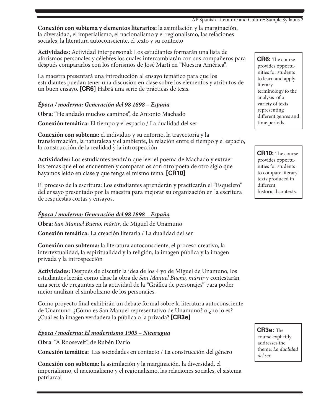**Conexión con subtema y elementos literarios:** la asimilación y la marginación, la diversidad, el imperialismo, el nacionalismo y el regionalismo, las relaciones sociales, la literatura autoconsciente, el texto y su contexto

**Actividades:** Actividad interpersonal: Los estudiantes formarán una lista de aforismos personales y célebres los cuales intercambiarán con sus compañeros para después compararlos con los aforismos de José Martí en "Nuestra América".

La maestra presentará una introducción al ensayo temático para que los estudiantes puedan tener una discusión en clase sobre los elementos y atributos de un buen ensayo. **[CR6]** Habrá una serie de prácticas de tesis.

### *Época / moderna: Generación del 98 1898 – España*

**Obra:** "He andado muchos caminos", de Antonio Machado

**Conexión temática:** El tiempo y el espacio / La dualidad del ser

**Conexión con subtema:** el individuo y su entorno, la trayectoria y la transformación, la naturaleza y el ambiente, la relación entre el tiempo y el espacio, la construcción de la realidad y la introspección

**Actividades:** Los estudiantes tendrán que leer el poema de Machado y extraer los temas que ellos encuentren y compararlos con otro poeta de otro siglo que hayamos leído en clase y que tenga el mismo tema. **[CR10]**

El proceso de la escritura: Los estudiantes aprenderán y practicarán el "Esqueleto" del ensayo presentado por la maestra para mejorar su organización en la escritura de respuestas cortas y ensayos.

### *Época / moderna: Generación del 98 1898 – España*

**Obra:** *San Manuel Bueno, mártir*, de Miguel de Unamuno

**Conexión temática:** La creación literaria / La dualidad del ser

**Conexión con subtema:** la literatura autoconsciente, el proceso creativo, la intertextualidad, la espiritualidad y la religión, la imagen pública y la imagen privada y la introspección

**Actividades:** Después de discutir la idea de los 4 yo de Miguel de Unamuno, los estudiantes leerán como clase la obra de *San Manuel Bueno, mártir* y contestarán una serie de preguntas en la actividad de la "Gráfca de personajes" para poder mejor analizar el simbolismo de los personajes.

Como proyecto fnal exhibirán un debate formal sobre la literatura autoconsciente de Unamuno. ¿Cómo es San Manuel representativo de Unamuno? o ¿no lo es? ¿Cuál es la imagen verdadera la pública o la privada? **[CR3e]**

### *Época / moderna: El modernismo 1905 – Nicaragua*

**Obra**: "A Roosevelt", de Rubén Darío

**Conexión temática:** Las sociedades en contacto / La construcción del género

**Conexión con subtema:** la asimilación y la marginación, la diversidad, el imperialismo, el nacionalismo y el regionalismo, las relaciones sociales, el sistema patriarcal

**CR6:** The course provides opportu nities for students to learn and apply literary terminology to the analysis of a variety of texts representing diferent genres and time periods.

**CR10:** The course provides opportu nities for students to compare literary texts produced in diferent historical contexts.

**CR3e:** The course explicitly addresses the theme: *La dualidad del ser.*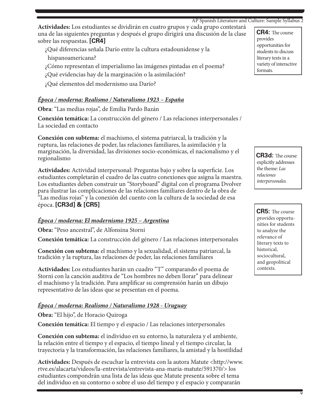**Actividades:** Los estudiantes se dividirán en cuatro grupos y cada grupo contestará una de las siguientes preguntas y después el grupo dirigirá una discusión de la clase sobre las respuestas. **[CR4]**

 ¿Qué diferencias señala Darío entre la cultura estadounidense y la hispanoamericana?

- ¿Cómo representan el imperialismo las imágenes pintadas en el poema?
- ¿Qué evidencias hay de la marginación o la asimilación?
- ¿Qué elementos del modernismo usa Darío?

### *Época / moderna: Realismo / Naturalismo 1923 – España*

**Obra**: "Las medias rojas", de Emilia Pardo Bazán

**Conexión temática:** La construcción del género / Las relaciones interpersonales / La sociedad en contacto

**Conexión con subtema:** el machismo, el sistema patriarcal, la tradición y la ruptura, las relaciones de poder, las relaciones familiares, la asimilación y la marginación, la diversidad, las divisiones socio-económicas, el nacionalismo y el regionalismo

**Actividades:** Actividad interpersonal: Preguntas bajo y sobre la superfcie. Los estudiantes completarán el cuadro de las cuatro conexiones que asigna la maestra. Los estudiantes deben construir un "Storyboard" digital con el programa Dvolver para ilustrar las complicaciones de las relaciones familiares dentro de la obra de "Las medias rojas" y la conexión del cuento con la cultura de la sociedad de esa época. **[CR3d] & [CR5]**

### *Época / moderna: El modernismo 1925 – Argentina*

**Obra:** "Peso ancestral", de Alfonsina Storni

**Conexión temática:** La construcción del género / Las relaciones interpersonales

**Conexión con subtema:** el machismo y la sexualidad, el sistema patriarcal, la tradición y la ruptura, las relaciones de poder, las relaciones familiares

**Actividades:** Los estudiantes harán un cuadro "T" comparando el poema de Storni con la canción auditiva de "Los hombres no deben llorar" para delinear el machismo y la tradición. Para amplifcar su comprensión harán un dibujo representativo de las ideas que se presentan en el poema.

# *Época / moderna: Realismo / Naturalismo 1928 - Uruguay*

**Obra:** "El hijo", de Horacio Quiroga

**Conexión temática:** El tiempo y el espacio / Las relaciones interpersonales

**Conexión con subtema:** el individuo en su entorno, la naturaleza y el ambiente, la relación entre el tiempo y el espacio, el tiempo lineal y el tiempo circular, la trayectoria y la transformación, las relaciones familiares, la amistad y la hostilidad

**Actividades:** Después de escuchar la entrevista con la autora Matute <http://www. rtve.es/alacarta/videos/la-entrevista/entrevista-ana-maria-matute/591370/> los estudiantes compondrán una lista de las ideas que Matute presenta sobre el tema del individuo en su contorno o sobre el uso del tiempo y el espacio y compararán

**CR4:** The course provides opportunities for students to discuss literary texts in a variety of interactive formats.

**CR3d:** The course explicitly addresses the theme: *Las relaciones interpersonales.*

**CR5:** The course provides opportu nities for students to analyze the relevance of literary texts to historical, sociocultural, and geopolitical contexts.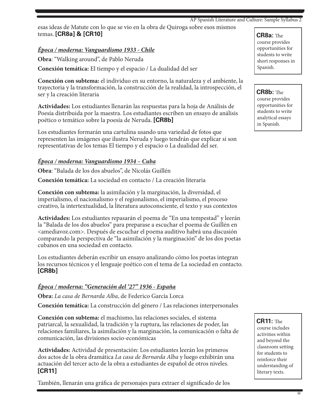esas ideas de Matute con lo que se vio en la obra de Quiroga sobre esos mismos temas. **[CR8a] & [CR10]**

### *Época / moderna: Vanguardismo 1933 - Chile*

**Obra**: "Walking around", de Pablo Neruda

**Conexión temática:** El tiempo y el espacio / La dualidad del ser

**Conexión con subtema:** el individuo en su entorno, la naturaleza y el ambiente, la trayectoria y la transformación, la construcción de la realidad, la introspección, el ser y la creación literaria

**Actividades:** Los estudiantes llenarán las respuestas para la hoja de Análisis de Poesía distribuida por la maestra. Los estudiantes escriben un ensayo de análisis poético o temático sobre la poesía de Neruda. **[CR8b]**

Los estudiantes formarán una cartulina usando una variedad de fotos que representen las imágenes que ilustra Neruda y luego tendrán que explicar si son representativas de los temas El tiempo y el espacio o La dualidad del ser.

### *Época / moderna: Vanguardismo 1934 – Cuba*

**Obra**: "Balada de los dos abuelos", de Nicolás Guillén

**Conexión temática:** La sociedad en contacto / La creación literaria

**Conexión con subtema:** la asimilación y la marginación, la diversidad, el imperialismo, el nacionalismo y el regionalismo, el imperialismo, el proceso creativo, la intertextualidad, la literatura autoconsciente, el texto y sus contextos

**Actividades:** Los estudiantes repasarán el poema de "En una tempestad" y leerán la "Balada de los dos abuelos" para preparase a escuchar el poema de Guillén en <amediavoz.com>. Después de escuchar el poema auditivo habrá una discusión comparando la perspectiva de "la asimilación y la marginación" de los dos poetas cubanos en una sociedad en contacto.

Los estudiantes deberán escribir un ensayo analizando cómo los poetas integran los recursos técnicos y el lenguaje poético con el tema de La sociedad en contacto. **[CR8b]**

# *Época / moderna: "Generación del '27" 1936 - España*

**Obra:** *La casa de Bernarda Alba*, de Federico García Lorca

**Conexión temática:** La construcción del género / Las relaciones interpersonales

**Conexión con subtema:** el machismo, las relaciones sociales, el sistema patriarcal, la sexualidad, la tradición y la ruptura, las relaciones de poder, las relaciones familiares, la asimilación y la marginación, la comunicación o falta de comunicación, las divisiones socio-económicas

**Actividades:** Actividad de presentación: Los estudiantes leerán los primeros dos actos de la obra dramática *La casa de Bernarda Alba* y luego exhibirán una actuación del tercer acto de la obra a estudiantes de español de otros niveles. **[CR11]**

También, llenarán una gráfca de personajes para extraer el signifcado de los

**CR8a:** The course provides opportunities for students to write short responses in Spanish.

# CR8b: The

 course provides opportunities for students to write analytical essays in Spanish.

**CR11:** The

 course includes activities within and beyond the classroom setting for students to reinforce their understanding of literary texts.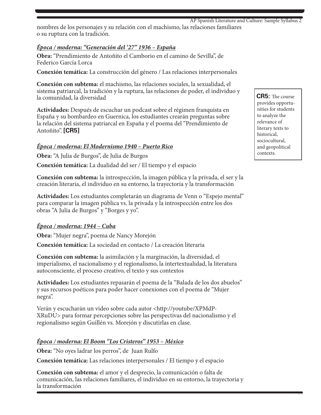nombres de los personajes y su relación con el machismo, las relaciones familiares o su ruptura con la tradición.

### *Época / moderna: "Generación del '27" 1936 – España*

**Obra:** "Prendimiento de Antoñito el Camborio en el camino de Sevilla", de Federico García Lorca

**Conexión temática:** La construcción del género / Las relaciones interpersonales

**Conexión con subtema:** el machismo, las relaciones sociales, la sexualidad, el sistema patriarcal, la tradición y la ruptura, las relaciones de poder, el individuo y la comunidad, la diversidad

**Actividades:** Después de escuchar un podcast sobre el régimen franquista en España y su bombardeo en Guernica, los estudiantes crearán preguntas sobre la relación del sistema patriarcal en España y el poema del "Prendimiento de Antoñito". **[CR5]**

### *Época / moderna: El Modernismo 1940 – Puerto Rico*

**Obra:** "A Julia de Burgos", de Julia de Burgos

**Conexión temática:** La dualidad del ser / El tiempo y el espacio

**Conexión con subtema:** la introspección, la imagen pública y la privada, el ser y la creación literaria, el individuo en su entorno, la trayectoria y la transformación

**Actividades:** Los estudiantes completarán un diagrama de Venn o "Espejo mental" para comparar la imagen pública vs. la privada y la introspección entre los dos obras "A Julia de Burgos" y "Borges y yo".

### *Época / moderna: 1944 – Cuba*

**Obra:** "Mujer negra", poema de Nancy Morejón

**Conexión temática:** La sociedad en contacto / La creación literaria

**Conexión con subtema:** la asimilación y la marginación, la diversidad, el imperialismo, el nacionalismo y el regionalismo, la intertextualidad, la literatura autoconsciente, el proceso creativo, el texto y sus contextos

**Actividades:** Los estudiantes repasarán el poema de la "Balada de los dos abuelos" y sus recursos poéticos para poder hacer conexiones con el poema de "Mujer negra".

Verán y escucharán un video sobre cada autor <http://youtube/XPMdP-XRuDU> para formar percepciones sobre las perspectivas del nacionalismo y el regionalismo según Guillén vs. Morejón y discutirlas en clase.

### *Época / moderna: El Boom "Los Cristeros" 1953 – México*

**Obra:** "No oyes ladrar los perros", de Juan Rulfo

**Conexión temática:** Las relaciones interpersonales / El tiempo y el espacio

**Conexión con subtema:** el amor y el desprecio, la comunicación o falta de comunicación, las relaciones familiares, el individuo en su entorno, la trayectoria y la transformación

**CR5:** The course provides opportu nities for students to analyze the relevance of literary texts to historical, sociocultural, and geopolitical contexts.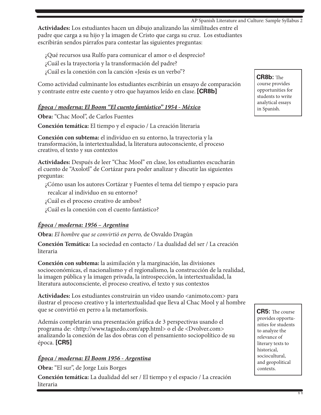**Actividades:** Los estudiantes hacen un dibujo analizando las similitudes entre el padre que carga a su hijo y la imagen de Cristo que carga su cruz. Los estudiantes escribirán sendos párrafos para contestar las siguientes preguntas:

 ¿Qué recursos usa Rulfo para comunicar el amor o el desprecio? ¿Cuál es la trayectoria y la transformación del padre? ¿Cuál es la conexión con la canción «Jesús es un verbo"?

Como actividad culminante los estudiantes escribirán un ensayo de comparación y contraste entre este cuento y otro que hayamos leído en clase. **[CR8b]**

# *Época / moderna: El Boom "El cuento fantástico" 1954 - México*

**Obra:** "Chac Mool", de Carlos Fuentes

**Conexión temática:** El tiempo y el espacio / La creación literaria

**Conexión con subtema:** el individuo en su entorno, la trayectoria y la transformación, la intertextualidad, la literatura autoconsciente, el proceso creativo, el texto y sus contextos

**Actividades:** Después de leer "Chac Mool" en clase, los estudiantes escucharán el cuento de "Axolotl" de Cortázar para poder analizar y discutir las siguientes preguntas:

 ¿Cómo usan los autores Cortázar y Fuentes el tema del tiempo y espacio para recalcar al individuo en su entorno?

¿Cuál es el proceso creativo de ambos?

¿Cuál es la conexión con el cuento fantástico?

# *Época / moderna: 1956 – Argentina*

**Obra:** *El hombre que se convirtió en perro,* de Osvaldo Dragún

**Conexión Temática:** La sociedad en contacto / La dualidad del ser / La creación literaria

**Conexión con subtema:** la asimilación y la marginación, las divisiones socioeconómicas, el nacionalismo y el regionalismo, la construcción de la realidad, la imagen pública y la imagen privada, la introspección, la intertextualidad, la literatura autoconsciente, el proceso creativo, el texto y sus contextos

**Actividades:** Los estudiantes construirán un video usando <animoto.com> para ilustrar el proceso creativo y la intertextualidad que lleva al Chac Mool y al hombre que se convirtió en perro a la metamorfosis.

Además completarán una presentación gráfca de 3 perspectivas usando el programa de: <http://www.tagxedo.com/app.html> o el de <Dvolver.com> analizando la conexión de las dos obras con el pensamiento sociopolítico de su época. **[CR5]**

# *Época / moderna: El Boom 1956 - Argentina*

**Obra:** "El sur", de Jorge Luis Borges

**Conexión temática:** La dualidad del ser / El tiempo y el espacio / La creación literaria

**CR8b:** The course provides opportunities for students to write analytical essays in Spanish.

**CR5:** The course provides opportu nities for students to analyze the relevance of literary texts to historical, sociocultural, and geopolitical contexts.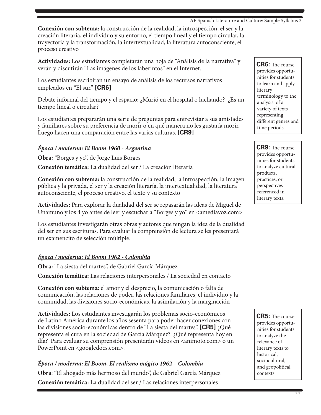**Conexión con subtema:** la construcción de la realidad, la introspección, el ser y la creación literaria, el individuo y su entorno, el tiempo lineal y el tiempo circular, la trayectoria y la transformación, la intertextualidad, la literatura autoconsciente, el proceso creativo

**Actividades:** Los estudiantes completarán una hoja de "Análisis de la narrativa" y verán y discutirán "Las imágenes de los laberintos" en el Internet.

Los estudiantes escribirán un ensayo de análisis de los recursos narrativos empleados en "El sur." **[CR6]**

Debate informal del tiempo y el espacio: ¿Murió en el hospital o luchando? ¿Es un tiempo lineal o circular?

Los estudiantes prepararán una serie de preguntas para entrevistar a sus amistades y familiares sobre su preferencia de morir o en qué manera no les gustaría morir. Luego hacen una comparación entre las varias culturas. **[CR9]**

# *Época / moderna: El Boom 1960 - Argentina*

**Obra:** "Borges y yo", de Jorge Luis Borges

**Conexión temática:** La dualidad del ser / La creación literaria

**Conexión con subtema:** la construcción de la realidad, la introspección, la imagen pública y la privada, el ser y la creación literaría, la intertextualidad, la literatura autoconsciente, el proceso creativo, el texto y su contexto

**Actividades:** Para explorar la dualidad del ser se repasarán las ideas de Miguel de Unamuno y los 4 yo antes de leer y escuchar a "Borges y yo" en <amediavoz.com>

Los estudiantes investigarán otras obras y autores que tengan la idea de la dualidad del ser en sus escrituras. Para evaluar la comprensión de lectura se les presentará un examencito de selección múltiple.

# *Época / moderna: El Boom 1962 - Colombia*

**Obra:** "La siesta del martes", de Gabriel García Márquez

**Conexión temática:** Las relaciones interpersonales / La sociedad en contacto

**Conexión con subtema:** el amor y el desprecio, la comunicación o falta de comunicación, las relaciones de poder, las relaciones familiares, el individuo y la comunidad, las divisiones socio-económicas, la asimilación y la marginación

**Actividades:** Los estudiantes investigarán los problemas socio-económicos de Latino América durante los años sesenta para poder hacer conexiones con las divisiones socio-económicas dentro de "La siesta del martes". **[CR5]** ¿Qué representa el cura en la sociedad de García Márquez? ¿Qué representa hoy en día? Para evaluar su comprensión presentarán videos en <animoto.com> o un PowerPoint en <googledocs.com>.

# *Época / moderna: El Boom, El realismo mágico 1962 – Colombia*

**Obra**: "El ahogado más hermoso del mundo", de Gabriel García Márquez **Conexión temática:** La dualidad del ser / Las relaciones interpersonales

**CR6:** The course provides opportu nities for students to learn and apply literary terminology to the analysis of a variety of texts representing diferent genres and time periods.

**CR9:** The course provides opportu nities for students to analyze cultural products, practices, or perspectives referenced in literary texts.

**CR5:** The course provides opportu nities for students to analyze the relevance of literary texts to historical, sociocultural, and geopolitical contexts.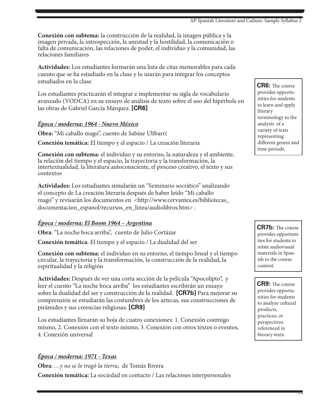**Conexión con subtema:** la construcción de la realidad, la imagen pública y la imagen privada, la introspección, la amistad y la hostilidad, la comunicación o falta de comunicación, las relaciones de poder, el individuo y la comunidad, las relaciones familiares

**Actividades:** Los estudiantes formarán una lista de citas memorables para cada cuento que se ha estudiado en la clase y lo usarán para integrar los conceptos estudiados en la clase.

Los estudiantes practicarán el integrar e implementar su sigla de vocabulario avanzado (VODCA) en su ensayo de análisis de texto sobre el uso del hipérbole en las obras de Gabriel García Márquez. **[CR6]**

# *Época / moderna: 1964 - Nuevo México*

**Obra:** "Mi caballo mago", cuento de Sabine Ulibarrí

**Conexión temática:** El tiempo y el espacio / La creación literaria

**Conexión con subtema:** el individuo y su entorno, la naturaleza y el ambiente, la relación del tiempo y el espacio, la trayectoria y la transformación, la intertextualidad, la literatura autoconsciente, el proceso creativo, el texto y sus contextos

**Actividades:** Los estudiantes simularán un "Seminario socrático" analizando el concepto de La creación literaria después de haber leído "Mi caballo mago" y revisarán los documentos en <http://www.cervantes.es/bibliotecas\_ documentacion\_espanol/recursos\_en\_linea/audiolibros.htm> .

# *Época / moderna: El Boom 1964 – Argentina*

**Obra**: "La noche boca arriba", cuento de Julio Cortázar

**Conexión temática**: El tiempo y el espacio / La dualidad del ser

**Conexión con subtema:** el individuo en su entorno, el tiempo lineal y el tiempo circular, la trayectoria y la transformación, la construcción de la realidad, la espiritualidad y la religión

**Actividades:** Después de ver una corta sección de la película "Apocolipto", y leer el cuento "La noche boca arriba" los estudiantes escribirán un ensayo sobre la dualidad del ser y construcción de la realidad. **[CR7b]** Para mejorar su comprensión se estudiarán las costumbres de los aztecas, sus construcciones de pirámides y sus creencias religiosas. **[CR9]** 

Los estudiantes llenarán su hoja de cuatro conexiones: 1. Conexión conmigo mismo, 2. Conexión con el texto mismo, 3. Conexión con otros textos o eventos, 4. Conexión universal

# *Época / moderna: 1971 - Texas*

**Obra**: *…y no se lo tragó la tierra*, de Tomás Rivera **Conexión temática:** La sociedad en contacto / Las relaciones interpersonales **CR6:** The course provides opportu nities for students to learn and apply literary terminology to the analysis of a variety of texts representing diferent genres and time periods.

**CR7b:** The course provides opportuni ties for students to relate audiovisual materials in Span ish to the course content.

**CR9:** The course provides opportu nities for students to analyze cultural products, practices, or perspectives referenced in literary texts.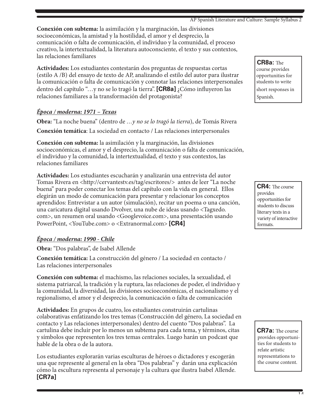**Conexión con subtema:** la asimilación y la marginación, las divisiones socioeconómicas, la amistad y la hostilidad, el amor y el desprecio, la comunicación o falta de comunicación, el individuo y la comunidad, el proceso creativo, la intertextualidad, la literatura autoconsciente, el texto y sus contextos, las relaciones familiares

**Actividades:** Los estudiantes contestarán dos preguntas de respuestas cortas (estilo A /B) del ensayo de texto de AP, analizando el estilo del autor para ilustrar la comunicación o falta de comunicación y connotar las relaciones interpersonales dentro del capítulo "…y no se lo tragó la tierra". **[CR8a]** ¿Cómo infuyeron las relaciones familiares a la transformación del protagonista?

### *Época / moderna: 1971 – Texas*

**Obra:** "La noche buena" (dentro de *…y no se lo tragó la tierra*), de Tomás Rivera **Conexión temática**: La sociedad en contacto / Las relaciones interpersonales

**Conexión con subtema:** la asimilación y la marginación, las divisiones socioeconómicas, el amor y el desprecio, la comunicación o falta de comunicación, el individuo y la comunidad, la intertextualidad, el texto y sus contextos, las relaciones familiares

**Actividades:** Los estudiantes escucharán y analizarán una entrevista del autor Tomas Rivera en <http://cervantestv.es/tag/escritores/> antes de leer "La noche buena" para poder conectar los temas del capítulo con la vida en general. Ellos elegirán un modo de comunicación para presentar y relacionar los conceptos aprendidos: Entrevistar a un autor (simulación), recitar un poema o una canción, una caricatura digital usando Dvolver, una nube de ideas usando <Tagxedo. com>, un resumen oral usando <Googlevoice.com>, una presentación usando PowerPoint, <YouTube.com> o <Extranormal.com> **[CR4]**

# *Época / moderna: 1990 - Chile*

**Obra:** "Dos palabras", de Isabel Allende

**Conexión temática:** La construcción del género / La sociedad en contacto / Las relaciones interpersonales

**Conexión con subtema:** el machismo, las relaciones sociales, la sexualidad, el sistema patriarcal, la tradición y la ruptura, las relaciones de poder, el individuo y la comunidad, la diversidad, las divisiones socioeconómicas, el nacionalismo y el regionalismo, el amor y el desprecio, la comunicación o falta de comunicación

**Actividades:** En grupos de cuatro, los estudiantes construirán cartulinas colaborativas enfatizando los tres temas (Construcción del género, La sociedad en contacto y Las relaciones interpersonales) dentro del cuento "Dos palabras". La cartulina debe incluir por lo menos un subtema para cada tema, y términos, citas y símbolos que representen los tres temas centrales. Luego harán un podcast que hable de la obra o de la autora.

Los estudiantes explorarán varias esculturas de héroes o dictadores y escogerán una que represente al general en la obra "Dos palabras" y darán una explicación cómo la escultura representa al personaje y la cultura que ilustra Isabel Allende. **[CR7a]**

**CR8a:** The course provides opportunities for students to write short responses in Spanish.

**CR4:** The course provides opportunities for students to discuss literary texts in a variety of interactive formats.

**CR7a:** The course provides opportuni ties for students to relate artistic representations to the course content.